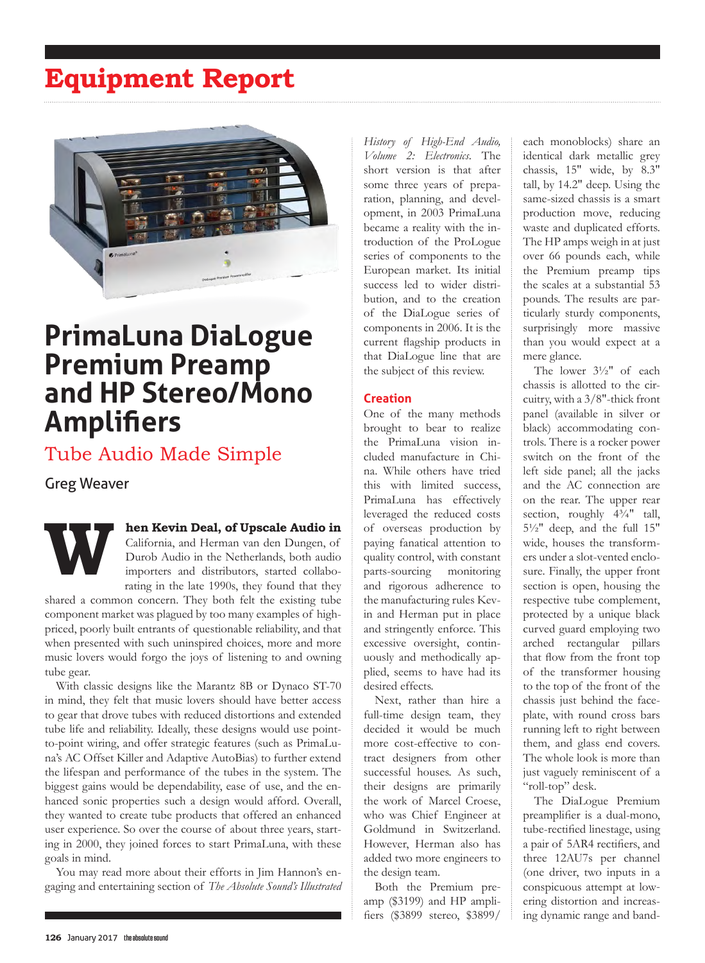# **Equipment Report**



# **PrimaLuna DiaLogue Premium Preamp and HP Stereo/Mono Amplifiers**

## Tube Audio Made Simple

### Greg Weaver

**When Kevin Deal, of Upscale Audio in** California, and Herman van den Dungen, of Durob Audio in the Netherlands, both audio importers and distributors, started collaborating in the late 1990s, they found that they

shared a common concern. They both felt the existing tube component market was plagued by too many examples of highpriced, poorly built entrants of questionable reliability, and that when presented with such uninspired choices, more and more music lovers would forgo the joys of listening to and owning tube gear.

With classic designs like the Marantz 8B or Dynaco ST-70 in mind, they felt that music lovers should have better access to gear that drove tubes with reduced distortions and extended tube life and reliability. Ideally, these designs would use pointto-point wiring, and offer strategic features (such as PrimaLuna's AC Offset Killer and Adaptive AutoBias) to further extend the lifespan and performance of the tubes in the system. The biggest gains would be dependability, ease of use, and the enhanced sonic properties such a design would afford. Overall, they wanted to create tube products that offered an enhanced user experience. So over the course of about three years, starting in 2000, they joined forces to start PrimaLuna, with these goals in mind.

You may read more about their efforts in Jim Hannon's engaging and entertaining section of *The Absolute Sound's Illustrated*  *History of High-End Audio, Volume 2: Electronics*. The short version is that after some three years of preparation, planning, and development, in 2003 PrimaLuna became a reality with the introduction of the ProLogue series of components to the European market. Its initial success led to wider distribution, and to the creation of the DiaLogue series of components in 2006. It is the current flagship products in that DiaLogue line that are the subject of this review.

### **Creation**

One of the many methods brought to bear to realize the PrimaLuna vision included manufacture in China. While others have tried this with limited success, PrimaLuna has effectively leveraged the reduced costs of overseas production by paying fanatical attention to quality control, with constant parts-sourcing monitoring and rigorous adherence to the manufacturing rules Kevin and Herman put in place and stringently enforce. This excessive oversight, continuously and methodically applied, seems to have had its desired effects.

Next, rather than hire a full-time design team, they decided it would be much more cost-effective to contract designers from other successful houses. As such, their designs are primarily the work of Marcel Croese, who was Chief Engineer at Goldmund in Switzerland. However, Herman also has added two more engineers to the design team.

Both the Premium preamp (\$3199) and HP amplifiers (\$3899 stereo, \$3899/ each monoblocks) share an identical dark metallic grey chassis, 15" wide, by 8.3" tall, by 14.2" deep. Using the same-sized chassis is a smart production move, reducing waste and duplicated efforts. The HP amps weigh in at just over 66 pounds each, while the Premium preamp tips the scales at a substantial 53 pounds. The results are particularly sturdy components, surprisingly more massive than you would expect at a mere glance.

The lower 3½" of each chassis is allotted to the circuitry, with a 3/8"-thick front panel (available in silver or black) accommodating controls. There is a rocker power switch on the front of the left side panel; all the jacks and the AC connection are on the rear. The upper rear section, roughly  $4\frac{3}{4}$ " tall,  $5\frac{1}{2}$ " deep, and the full 15" wide, houses the transformers under a slot-vented enclosure. Finally, the upper front section is open, housing the respective tube complement, protected by a unique black curved guard employing two arched rectangular pillars that flow from the front top of the transformer housing to the top of the front of the chassis just behind the faceplate, with round cross bars running left to right between them, and glass end covers. The whole look is more than just vaguely reminiscent of a "roll-top" desk.

The DiaLogue Premium preamplifier is a dual-mono, tube-rectified linestage, using a pair of 5AR4 rectifiers, and three 12AU7s per channel (one driver, two inputs in a conspicuous attempt at lowering distortion and increasing dynamic range and band-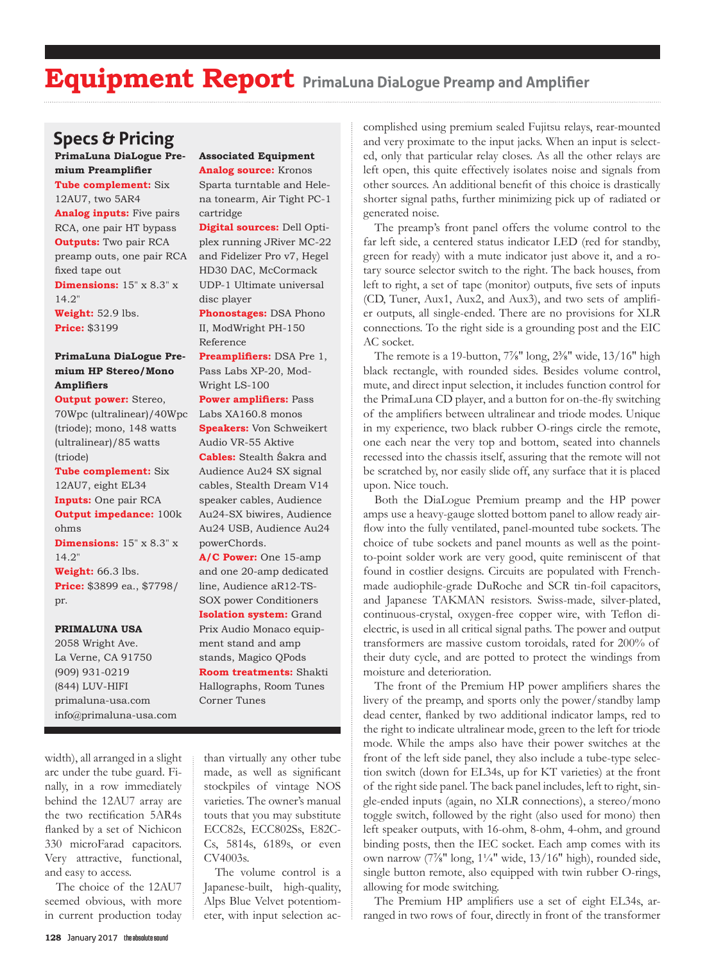## **Specs & Pricing**

**PrimaLuna DiaLogue Premium Preamplifier Tube complement:** Six 12AU7, two 5AR4 **Analog inputs:** Five pairs RCA, one pair HT bypass **Outputs:** Two pair RCA preamp outs, one pair RCA fixed tape out **Dimensions:** 15" x 8.3" x

14.2" **Weight:** 52.9 lbs. **Price:** \$3199

### **PrimaLuna DiaLogue Premium HP Stereo/Mono Amplifiers**

**Output power:** Stereo, 70Wpc (ultralinear)/40Wpc (triode); mono, 148 watts (ultralinear)/85 watts (triode)

**Tube complement:** Six 12AU7, eight EL34 **Inputs:** One pair RCA **Output impedance:** 100k ohms **Dimensions:** 15" x 8.3" x 14.2" **Weight:** 66.3 lbs. **Price:** \$3899 ea., \$7798/

#### **PRIMALUNA USA**

pr.

2058 Wright Ave. La Verne, CA 91750 (909) 931-0219 (844) LUV-HIFI primaluna-usa.com info@primaluna-usa.com

#### **Associated Equipment Analog source:** Kronos

Sparta turntable and Helena tonearm, Air Tight PC-1 cartridge

**Digital sources:** Dell Optiplex running JRiver MC-22 and Fidelizer Pro v7, Hegel HD30 DAC, McCormack UDP-1 Ultimate universal disc player

**Phonostages:** DSA Phono II, ModWright PH-150 Reference

**Preamplifiers:** DSA Pre 1, Pass Labs XP-20, Mod-Wright LS-100

**Power amplifiers:** Pass Labs XA160.8 monos

**Speakers:** Von Schweikert Audio VR-55 Aktive **Cables:** Stealth Śakra and Audience Au24 SX signal cables, Stealth Dream V14 speaker cables, Audience Au24-SX biwires, Audience Au24 USB, Audience Au24 powerChords.

**A/C Power:** One 15-amp and one 20-amp dedicated line, Audience aR12-TS-SOX power Conditioners **Isolation system:** Grand Prix Audio Monaco equipment stand and amp stands, Magico QPods **Room treatments:** Shakti Hallographs, Room Tunes Corner Tunes

width), all arranged in a slight arc under the tube guard. Finally, in a row immediately behind the 12AU7 array are the two rectification 5AR4s flanked by a set of Nichicon 330 microFarad capacitors. Very attractive, functional, and easy to access.

The choice of the 12AU7 seemed obvious, with more in current production today than virtually any other tube made, as well as significant stockpiles of vintage NOS varieties. The owner's manual touts that you may substitute ECC82s, ECC802Ss, E82C-Cs, 5814s, 6189s, or even CV4003s.

The volume control is a Japanese-built, high-quality, Alps Blue Velvet potentiometer, with input selection ac-

complished using premium sealed Fujitsu relays, rear-mounted and very proximate to the input jacks. When an input is selected, only that particular relay closes. As all the other relays are left open, this quite effectively isolates noise and signals from other sources. An additional benefit of this choice is drastically shorter signal paths, further minimizing pick up of radiated or generated noise.

The preamp's front panel offers the volume control to the far left side, a centered status indicator LED (red for standby, green for ready) with a mute indicator just above it, and a rotary source selector switch to the right. The back houses, from left to right, a set of tape (monitor) outputs, five sets of inputs (CD, Tuner, Aux1, Aux2, and Aux3), and two sets of amplifier outputs, all single-ended. There are no provisions for XLR connections. To the right side is a grounding post and the EIC AC socket.

The remote is a 19-button,  $7\frac{7}{8}$ " long,  $2\frac{3}{8}$ " wide,  $13/16$ " high black rectangle, with rounded sides. Besides volume control, mute, and direct input selection, it includes function control for the PrimaLuna CD player, and a button for on-the-fly switching of the amplifiers between ultralinear and triode modes. Unique in my experience, two black rubber O-rings circle the remote, one each near the very top and bottom, seated into channels recessed into the chassis itself, assuring that the remote will not be scratched by, nor easily slide off, any surface that it is placed upon. Nice touch.

Both the DiaLogue Premium preamp and the HP power amps use a heavy-gauge slotted bottom panel to allow ready airflow into the fully ventilated, panel-mounted tube sockets. The choice of tube sockets and panel mounts as well as the pointto-point solder work are very good, quite reminiscent of that found in costlier designs. Circuits are populated with Frenchmade audiophile-grade DuRoche and SCR tin-foil capacitors, and Japanese TAKMAN resistors. Swiss-made, silver-plated, continuous-crystal, oxygen-free copper wire, with Teflon dielectric, is used in all critical signal paths. The power and output transformers are massive custom toroidals, rated for 200% of their duty cycle, and are potted to protect the windings from moisture and deterioration.

The front of the Premium HP power amplifiers shares the livery of the preamp, and sports only the power/standby lamp dead center, flanked by two additional indicator lamps, red to the right to indicate ultralinear mode, green to the left for triode mode. While the amps also have their power switches at the front of the left side panel, they also include a tube-type selection switch (down for EL34s, up for KT varieties) at the front of the right side panel. The back panel includes, left to right, single-ended inputs (again, no XLR connections), a stereo/mono toggle switch, followed by the right (also used for mono) then left speaker outputs, with 16-ohm, 8-ohm, 4-ohm, and ground binding posts, then the IEC socket. Each amp comes with its own narrow (7⅞" long, 1¼" wide, 13/16" high), rounded side, single button remote, also equipped with twin rubber O-rings, allowing for mode switching.

The Premium HP amplifiers use a set of eight EL34s, arranged in two rows of four, directly in front of the transformer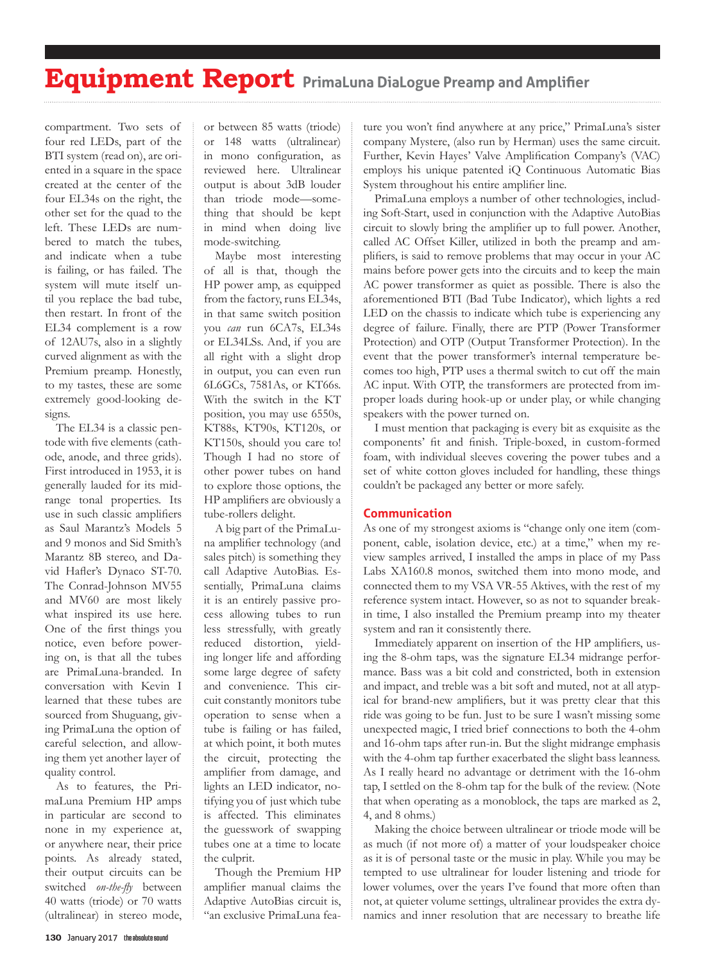compartment. Two sets of four red LEDs, part of the BTI system (read on), are oriented in a square in the space created at the center of the four EL34s on the right, the other set for the quad to the left. These LEDs are numbered to match the tubes, and indicate when a tube is failing, or has failed. The system will mute itself until you replace the bad tube, then restart. In front of the EL34 complement is a row of 12AU7s, also in a slightly curved alignment as with the Premium preamp. Honestly, to my tastes, these are some extremely good-looking designs.

The EL34 is a classic pentode with five elements (cathode, anode, and three grids). First introduced in 1953, it is generally lauded for its midrange tonal properties. Its use in such classic amplifiers as Saul Marantz's Models 5 and 9 monos and Sid Smith's Marantz 8B stereo, and David Hafler's Dynaco ST-70. The Conrad-Johnson MV55 and MV60 are most likely what inspired its use here. One of the first things you notice, even before powering on, is that all the tubes are PrimaLuna-branded. In conversation with Kevin I learned that these tubes are sourced from Shuguang, giving PrimaLuna the option of careful selection, and allowing them yet another layer of quality control.

As to features, the PrimaLuna Premium HP amps in particular are second to none in my experience at, or anywhere near, their price points. As already stated, their output circuits can be switched *on-the-fly* between 40 watts (triode) or 70 watts (ultralinear) in stereo mode, or between 85 watts (triode) or 148 watts (ultralinear) in mono configuration, as reviewed here. Ultralinear output is about 3dB louder than triode mode—something that should be kept in mind when doing live mode-switching.

Maybe most interesting of all is that, though the HP power amp, as equipped from the factory, runs EL34s, in that same switch position you *can* run 6CA7s, EL34s or EL34LSs. And, if you are all right with a slight drop in output, you can even run 6L6GCs, 7581As, or KT66s. With the switch in the KT position, you may use 6550s, KT88s, KT90s, KT120s, or KT150s, should you care to! Though I had no store of other power tubes on hand to explore those options, the HP amplifiers are obviously a tube-rollers delight.

A big part of the PrimaLuna amplifier technology (and sales pitch) is something they call Adaptive AutoBias. Essentially, PrimaLuna claims it is an entirely passive process allowing tubes to run less stressfully, with greatly reduced distortion, yielding longer life and affording some large degree of safety and convenience. This circuit constantly monitors tube operation to sense when a tube is failing or has failed, at which point, it both mutes the circuit, protecting the amplifier from damage, and lights an LED indicator, notifying you of just which tube is affected. This eliminates the guesswork of swapping tubes one at a time to locate the culprit.

Though the Premium HP amplifier manual claims the Adaptive AutoBias circuit is, "an exclusive PrimaLuna fea-

ture you won't find anywhere at any price," PrimaLuna's sister company Mystere, (also run by Herman) uses the same circuit. Further, Kevin Hayes' Valve Amplification Company's (VAC) employs his unique patented iQ Continuous Automatic Bias System throughout his entire amplifier line.

PrimaLuna employs a number of other technologies, including Soft-Start, used in conjunction with the Adaptive AutoBias circuit to slowly bring the amplifier up to full power. Another, called AC Offset Killer, utilized in both the preamp and amplifiers, is said to remove problems that may occur in your AC mains before power gets into the circuits and to keep the main AC power transformer as quiet as possible. There is also the aforementioned BTI (Bad Tube Indicator), which lights a red LED on the chassis to indicate which tube is experiencing any degree of failure. Finally, there are PTP (Power Transformer Protection) and OTP (Output Transformer Protection). In the event that the power transformer's internal temperature becomes too high, PTP uses a thermal switch to cut off the main AC input. With OTP, the transformers are protected from improper loads during hook-up or under play, or while changing speakers with the power turned on.

I must mention that packaging is every bit as exquisite as the components' fit and finish. Triple-boxed, in custom-formed foam, with individual sleeves covering the power tubes and a set of white cotton gloves included for handling, these things couldn't be packaged any better or more safely.

### **Communication**

As one of my strongest axioms is "change only one item (component, cable, isolation device, etc.) at a time," when my review samples arrived, I installed the amps in place of my Pass Labs XA160.8 monos, switched them into mono mode, and connected them to my VSA VR-55 Aktives, with the rest of my reference system intact. However, so as not to squander breakin time, I also installed the Premium preamp into my theater system and ran it consistently there.

Immediately apparent on insertion of the HP amplifiers, using the 8-ohm taps, was the signature EL34 midrange performance. Bass was a bit cold and constricted, both in extension and impact, and treble was a bit soft and muted, not at all atypical for brand-new amplifiers, but it was pretty clear that this ride was going to be fun. Just to be sure I wasn't missing some unexpected magic, I tried brief connections to both the 4-ohm and 16-ohm taps after run-in. But the slight midrange emphasis with the 4-ohm tap further exacerbated the slight bass leanness. As I really heard no advantage or detriment with the 16-ohm tap, I settled on the 8-ohm tap for the bulk of the review. (Note that when operating as a monoblock, the taps are marked as 2, 4, and 8 ohms.)

Making the choice between ultralinear or triode mode will be as much (if not more of) a matter of your loudspeaker choice as it is of personal taste or the music in play. While you may be tempted to use ultralinear for louder listening and triode for lower volumes, over the years I've found that more often than not, at quieter volume settings, ultralinear provides the extra dynamics and inner resolution that are necessary to breathe life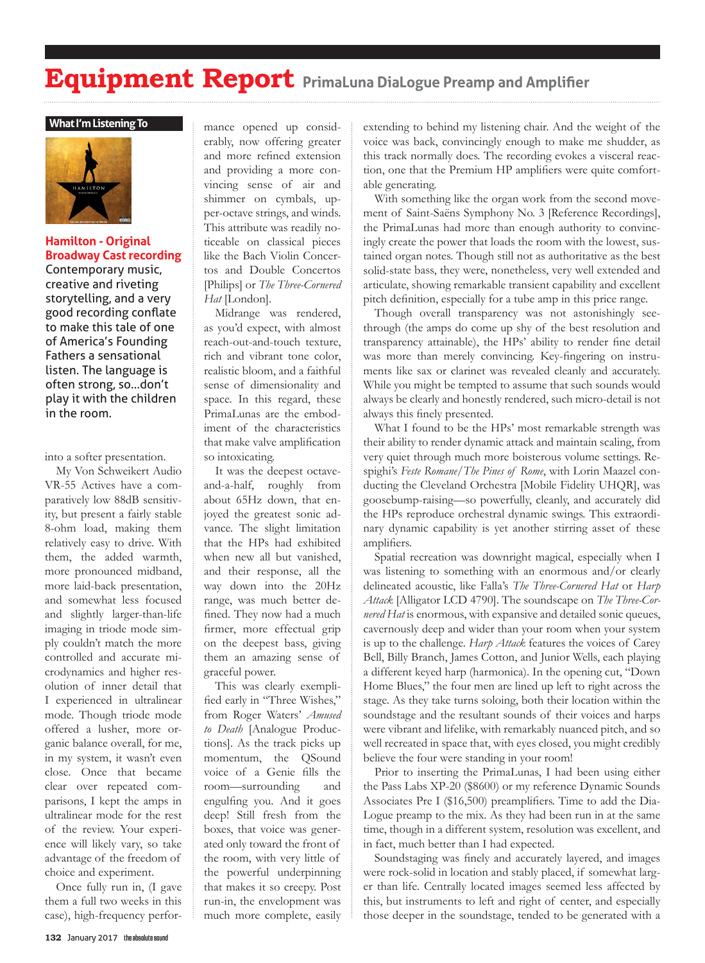#### **What I'm Listening To**



### **Hamilton - Original Broadway Cast recording**

Contemporary music, creative and riveting storytelling, and a very good recording conflate to make this tale of one of America's Founding Fathers a sensational listen. The language is often strong, so…don't play it with the children in the room.

into a softer presentation.

My Von Schweikert Audio VR-55 Actives have a comparatively low 88dB sensitivity, but present a fairly stable 8-ohm load, making them relatively easy to drive. With them, the added warmth, more pronounced midband, more laid-back presentation, and somewhat less focused and slightly larger-than-life imaging in triode mode simply couldn't match the more controlled and accurate microdynamics and higher resolution of inner detail that I experienced in ultralinear mode. Though triode mode offered a lusher, more organic balance overall, for me, in my system, it wasn't even close. Once that became clear over repeated comparisons, I kept the amps in ultralinear mode for the rest of the review. Your experience will likely vary, so take advantage of the freedom of choice and experiment.

Once fully run in, (I gave them a full two weeks in this case), high-frequency performance opened up considerably, now offering greater and more refined extension and providing a more convincing sense of air and shimmer on cymbals, upper-octave strings, and winds. This attribute was readily noticeable on classical pieces like the Bach Violin Concertos and Double Concertos [Philips] or *The Three-Cornered Hat* [London].

Midrange was rendered, as you'd expect, with almost reach-out-and-touch texture, rich and vibrant tone color, realistic bloom, and a faithful sense of dimensionality and space. In this regard, these PrimaLunas are the embodiment of the characteristics that make valve amplification so intoxicating.

It was the deepest octaveand-a-half, roughly from about 65Hz down, that enjoyed the greatest sonic advance. The slight limitation that the HPs had exhibited when new all but vanished, and their response, all the way down into the 20Hz range, was much better defined. They now had a much firmer, more effectual grip on the deepest bass, giving them an amazing sense of graceful power.

This was clearly exemplified early in "Three Wishes," from Roger Waters' *Amused to Death* [Analogue Productions]. As the track picks up momentum, the QSound voice of a Genie fills the room—surrounding and engulfing you. And it goes deep! Still fresh from the boxes, that voice was generated only toward the front of the room, with very little of the powerful underpinning that makes it so creepy. Post run-in, the envelopment was much more complete, easily extending to behind my listening chair. And the weight of the voice was back, convincingly enough to make me shudder, as this track normally does. The recording evokes a visceral reaction, one that the Premium HP amplifiers were quite comfortable generating.

With something like the organ work from the second movement of Saint-Saëns Symphony No. 3 [Reference Recordings], the PrimaLunas had more than enough authority to convincingly create the power that loads the room with the lowest, sustained organ notes. Though still not as authoritative as the best solid-state bass, they were, nonetheless, very well extended and articulate, showing remarkable transient capability and excellent pitch definition, especially for a tube amp in this price range.

Though overall transparency was not astonishingly seethrough (the amps do come up shy of the best resolution and transparency attainable), the HPs' ability to render fine detail was more than merely convincing. Key-fingering on instruments like sax or clarinet was revealed cleanly and accurately. While you might be tempted to assume that such sounds would always be clearly and honestly rendered, such micro-detail is not always this finely presented.

What I found to be the HPs' most remarkable strength was their ability to render dynamic attack and maintain scaling, from very quiet through much more boisterous volume settings. Respighi's *Feste Romane/The Pines of Rome*, with Lorin Maazel conducting the Cleveland Orchestra [Mobile Fidelity UHQR], was goosebump-raising—so powerfully, cleanly, and accurately did the HPs reproduce orchestral dynamic swings. This extraordinary dynamic capability is yet another stirring asset of these amplifiers.

Spatial recreation was downright magical, especially when I was listening to something with an enormous and/or clearly delineated acoustic, like Falla's *The Three-Cornered Hat* or *Harp Attack* [Alligator LCD 4790]. The soundscape on *The Three-Cornered Hat* is enormous, with expansive and detailed sonic queues, cavernously deep and wider than your room when your system is up to the challenge. *Harp Attack* features the voices of Carey Bell, Billy Branch, James Cotton, and Junior Wells, each playing a different keyed harp (harmonica). In the opening cut, "Down Home Blues," the four men are lined up left to right across the stage. As they take turns soloing, both their location within the soundstage and the resultant sounds of their voices and harps were vibrant and lifelike, with remarkably nuanced pitch, and so well recreated in space that, with eyes closed, you might credibly believe the four were standing in your room!

Prior to inserting the PrimaLunas, I had been using either the Pass Labs XP-20 (\$8600) or my reference Dynamic Sounds Associates Pre I (\$16,500) preamplifiers. Time to add the Dia-Logue preamp to the mix. As they had been run in at the same time, though in a different system, resolution was excellent, and in fact, much better than I had expected.

Soundstaging was finely and accurately layered, and images were rock-solid in location and stably placed, if somewhat larger than life. Centrally located images seemed less affected by this, but instruments to left and right of center, and especially those deeper in the soundstage, tended to be generated with a